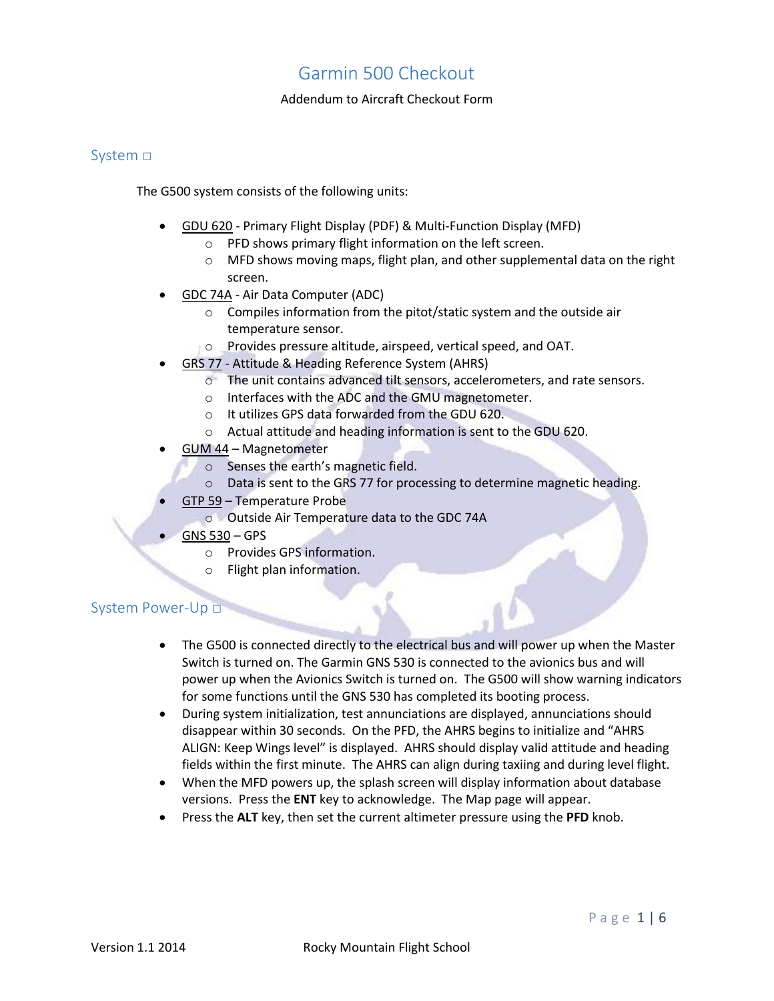#### Addendum to Aircraft Checkout Form

### System □

The G500 system consists of the following units:

- GDU 620 Primary Flight Display (PDF) & Multi-Function Display (MFD)
	- o PFD shows primary flight information on the left screen.
	- o MFD shows moving maps, flight plan, and other supplemental data on the right screen.
- GDC 74A Air Data Computer (ADC)
	- o Compiles information from the pitot/static system and the outside air temperature sensor.
	- o Provides pressure altitude, airspeed, vertical speed, and OAT.
- GRS 77 Attitude & Heading Reference System (AHRS)
	- o The unit contains advanced tilt sensors, accelerometers, and rate sensors.
	- o Interfaces with the ADC and the GMU magnetometer.
	- o It utilizes GPS data forwarded from the GDU 620.
	- o Actual attitude and heading information is sent to the GDU 620.
- GUM 44 Magnetometer
	- o Senses the earth's magnetic field.
	- o Data is sent to the GRS 77 for processing to determine magnetic heading.
- GTP 59 Temperature Probe
- o Outside Air Temperature data to the GDC 74A
- GNS 530 GPS
	- o Provides GPS information.
	- o Flight plan information.

#### System Power-Up □

- The G500 is connected directly to the electrical bus and will power up when the Master Switch is turned on. The Garmin GNS 530 is connected to the avionics bus and will power up when the Avionics Switch is turned on. The G500 will show warning indicators for some functions until the GNS 530 has completed its booting process.
- During system initialization, test annunciations are displayed, annunciations should disappear within 30 seconds. On the PFD, the AHRS begins to initialize and "AHRS ALIGN: Keep Wings level" is displayed. AHRS should display valid attitude and heading fields within the first minute. The AHRS can align during taxiing and during level flight.
- When the MFD powers up, the splash screen will display information about database versions. Press the **ENT** key to acknowledge. The Map page will appear.
- Press the **ALT** key, then set the current altimeter pressure using the **PFD** knob.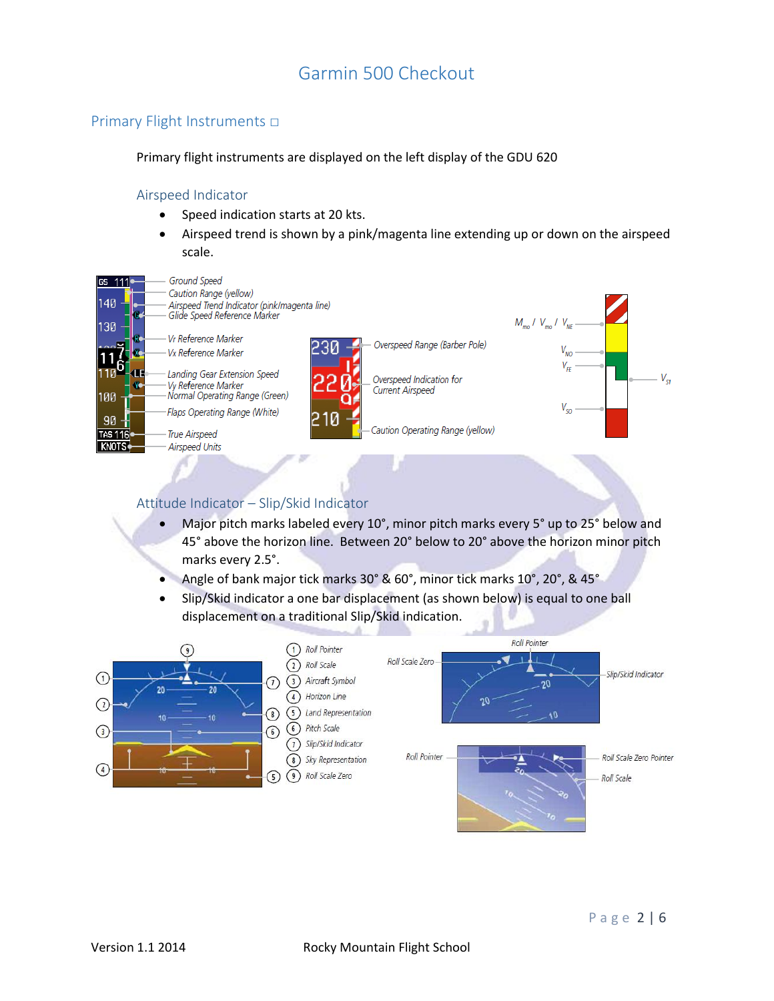### Primary Flight Instruments □

Primary flight instruments are displayed on the left display of the GDU 620

#### Airspeed Indicator

- Speed indication starts at 20 kts.
- Airspeed trend is shown by a pink/magenta line extending up or down on the airspeed scale.



### Attitude Indicator – Slip/Skid Indicator

- Major pitch marks labeled every 10°, minor pitch marks every 5° up to 25° below and 45° above the horizon line. Between 20° below to 20° above the horizon minor pitch marks every 2.5°.
- Angle of bank major tick marks 30° & 60°, minor tick marks 10°, 20°, & 45°
- Slip/Skid indicator a one bar displacement (as shown below) is equal to one ball displacement on a traditional Slip/Skid indication.

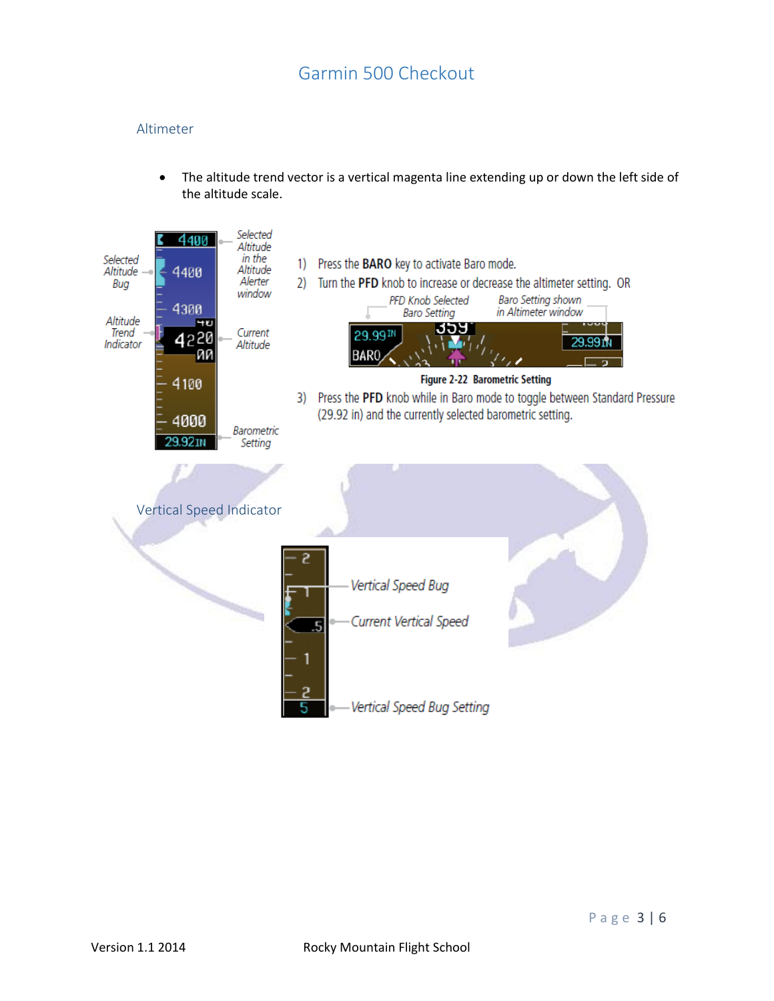### Altimeter

 The altitude trend vector is a vertical magenta line extending up or down the left side of the altitude scale.

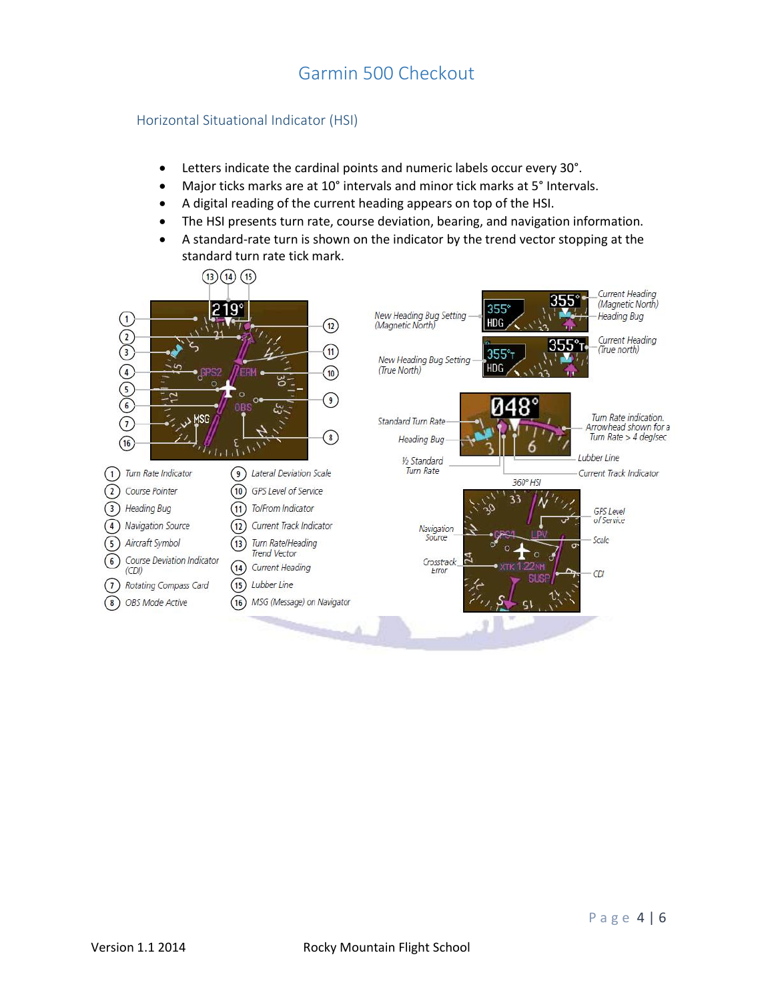#### Horizontal Situational Indicator (HSI)

- Letters indicate the cardinal points and numeric labels occur every 30°.
- Major ticks marks are at 10° intervals and minor tick marks at 5° Intervals.
- A digital reading of the current heading appears on top of the HSI.
- The HSI presents turn rate, course deviation, bearing, and navigation information.
- A standard-rate turn is shown on the indicator by the trend vector stopping at the standard turn rate tick mark.

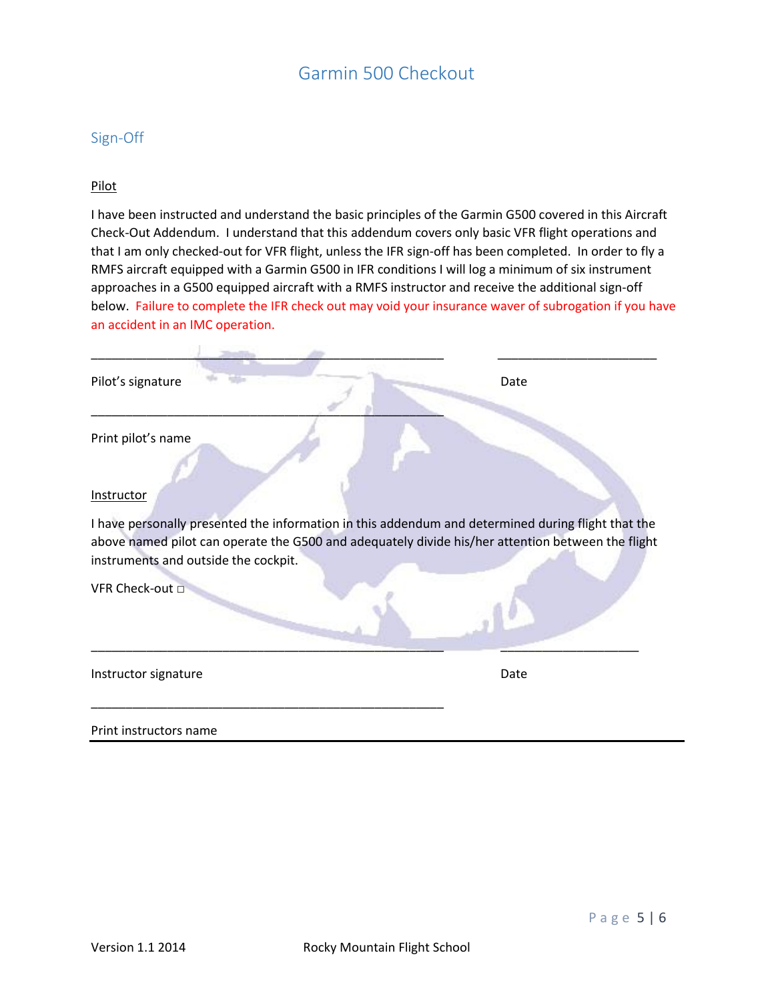### Sign-Off

#### Pilot

I have been instructed and understand the basic principles of the Garmin G500 covered in this Aircraft Check-Out Addendum. I understand that this addendum covers only basic VFR flight operations and that I am only checked-out for VFR flight, unless the IFR sign-off has been completed. In order to fly a RMFS aircraft equipped with a Garmin G500 in IFR conditions I will log a minimum of six instrument approaches in a G500 equipped aircraft with a RMFS instructor and receive the additional sign-off below. Failure to complete the IFR check out may void your insurance waver of subrogation if you have an accident in an IMC operation.

| Pilot's signature                                                                           | Date                                                                                                                                                                                                    |
|---------------------------------------------------------------------------------------------|---------------------------------------------------------------------------------------------------------------------------------------------------------------------------------------------------------|
| Print pilot's name<br>Instructor<br>instruments and outside the cockpit.<br>VFR Check-out □ | I have personally presented the information in this addendum and determined during flight that the<br>above named pilot can operate the G500 and adequately divide his/her attention between the flight |
| Instructor signature                                                                        | Date                                                                                                                                                                                                    |
| Print instructors name                                                                      |                                                                                                                                                                                                         |